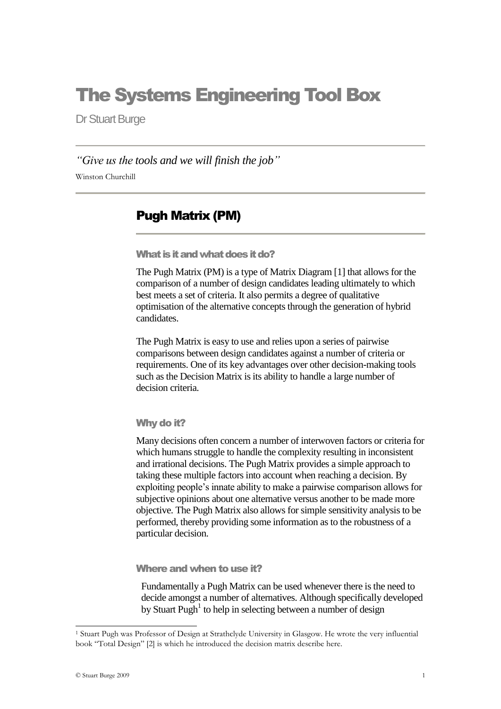# The Systems Engineering Tool Box

Dr Stuart Burge

*"Give us the tools and we will finish the job"* Winston Churchill

### Pugh Matrix (PM)

What is it and what does it do?

The Pugh Matrix (PM) is a type of Matrix Diagram [1] that allows for the comparison of a number of design candidates leading ultimately to which best meets a set of criteria. It also permits a degree of qualitative optimisation of the alternative concepts through the generation of hybrid candidates.

The Pugh Matrix is easy to use and relies upon a series of pairwise comparisons between design candidates against a number of criteria or requirements. One of its key advantages over other decision-making tools such as the Decision Matrix is its ability to handle a large number of decision criteria.

Why do it?

Many decisions often concern a number of interwoven factors or criteria for which humans struggle to handle the complexity resulting in inconsistent and irrational decisions. The Pugh Matrix provides a simple approach to taking these multiple factors into account when reaching a decision. By exploiting people"s innate ability to make a pairwise comparison allows for subjective opinions about one alternative versus another to be made more objective. The Pugh Matrix also allows for simple sensitivity analysis to be performed, thereby providing some information as to the robustness of a particular decision.

Where and when to use it?

Fundamentally a Pugh Matrix can be used whenever there is the need to decide amongst a number of alternatives. Although specifically developed by Stuart Pugh<sup>1</sup> to help in selecting between a number of design

 $\overline{a}$ 

<sup>1</sup> Stuart Pugh was Professor of Design at Strathclyde University in Glasgow. He wrote the very influential book "Total Design" [2] is which he introduced the decision matrix describe here.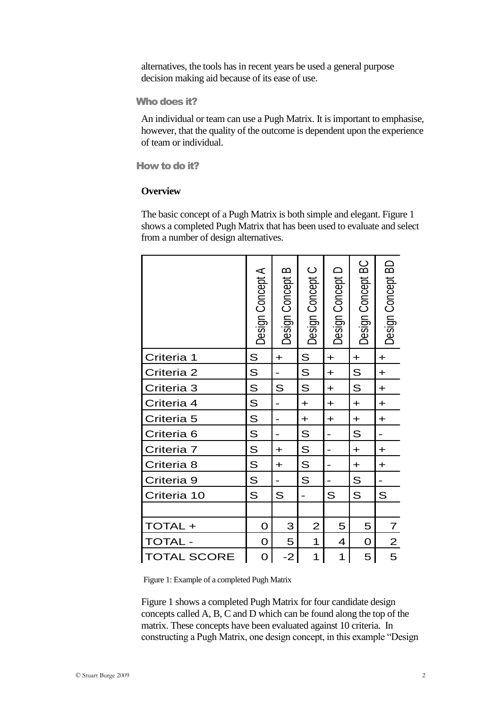alternatives, the tools has in recent years be used a general purpose decision making aid because of its ease of use.

#### Who does it?

An individual or team can use a Pugh Matrix. It is important to emphasise, however, that the quality of the outcome is dependent upon the experience of team or individual.

How to do it?

#### **Overview**

The basic concept of a Pugh Matrix is both simple and elegant. Figure 1 shows a completed Pugh Matrix that has been used to evaluate and select from a number of design alternatives.

|                       | Design Concept A | Design Concept B | Design Concept C | Design Concept D        | Design Concept BC | Design Concept BD |
|-----------------------|------------------|------------------|------------------|-------------------------|-------------------|-------------------|
| Criteria              | S                | $\ddot{}$        | S                | $\ddot{}$               | $\ddot{}$         | $\ddot{}$         |
| Criteria 2            | S                |                  | S                | $\ddot{}$               | $\mathsf S$       | $\ddot{}$         |
| Criteria 3            | S                | S                | S                | $\ddot{}$               | S                 | $\ddot{}$         |
| Criteria 4            | S                | -                | $+$              | $\ddot{}$               | $\ddot{}$         | $\ddot{}$         |
| Criteria 5            | S                |                  | $\ddot{}$        | $\ddot{}$               | $\ddot{}$         | $\ddot{}$         |
| Criteria <sub>6</sub> | S                |                  | S                |                         | S                 |                   |
| Criteria 7            | S                | $\ddot{}$        | S                |                         | $+$               | $\ddot{}$         |
| Criteria 8            | S                | $\ddot{}$        | S                |                         | $\ddot{}$         | $\ddot{}$         |
| Criteria 9            | S                |                  | S                |                         | S                 |                   |
| Criteria 10           | S                | S                |                  | S                       | S                 | S                 |
|                       |                  |                  |                  |                         |                   |                   |
| TOTAL+                | O                | 3                | $\overline{2}$   | 5                       | 5                 | $\overline{7}$    |
| <b>TOTAL</b>          | $\mathbf 0$      | 5                | 1                | 4                       | ${\bf O}$         | $\overline{2}$    |
| <b>TOTAL SCORE</b>    | O                | $-2$             | 1                | $\overline{\mathbf{1}}$ | 5                 | 5                 |

Figure 1: Example of a completed Pugh Matrix

Figure 1 shows a completed Pugh Matrix for four candidate design concepts called A, B, C and D which can be found along the top of the matrix. These concepts have been evaluated against 10 criteria. In constructing a Pugh Matrix, one design concept, in this example "Design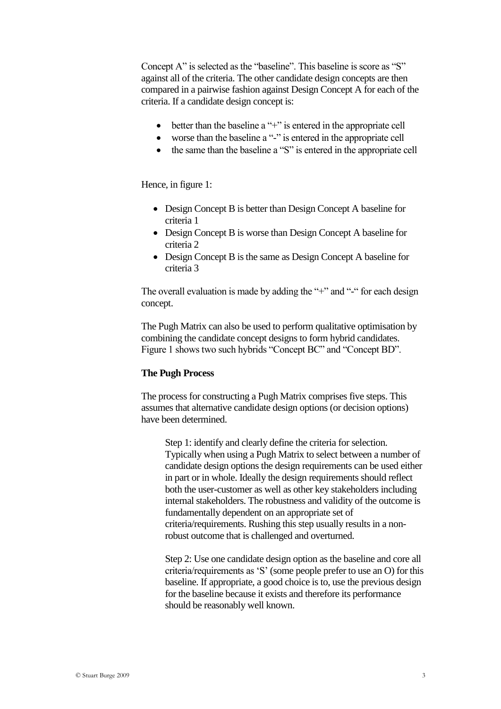Concept A" is selected as the "baseline". This baseline is score as "S" against all of the criteria. The other candidate design concepts are then compared in a pairwise fashion against Design Concept A for each of the criteria. If a candidate design concept is:

- better than the baseline a "+" is entered in the appropriate cell
- worse than the baseline a "-" is entered in the appropriate cell
- the same than the baseline a "S" is entered in the appropriate cell

Hence, in figure 1:

- Design Concept B is better than Design Concept A baseline for criteria 1
- Design Concept B is worse than Design Concept A baseline for criteria 2
- Design Concept B is the same as Design Concept A baseline for criteria 3

The overall evaluation is made by adding the "+" and "-" for each design concept.

The Pugh Matrix can also be used to perform qualitative optimisation by combining the candidate concept designs to form hybrid candidates. Figure 1 shows two such hybrids "Concept BC" and "Concept BD".

#### **The Pugh Process**

The process for constructing a Pugh Matrix comprises five steps. This assumes that alternative candidate design options (or decision options) have been determined.

Step 1: identify and clearly define the criteria for selection. Typically when using a Pugh Matrix to select between a number of candidate design options the design requirements can be used either in part or in whole. Ideally the design requirements should reflect both the user-customer as well as other key stakeholders including internal stakeholders. The robustness and validity of the outcome is fundamentally dependent on an appropriate set of criteria/requirements. Rushing this step usually results in a nonrobust outcome that is challenged and overturned.

Step 2: Use one candidate design option as the baseline and core all criteria/requirements as "S" (some people prefer to use an O) for this baseline. If appropriate, a good choice is to, use the previous design for the baseline because it exists and therefore its performance should be reasonably well known.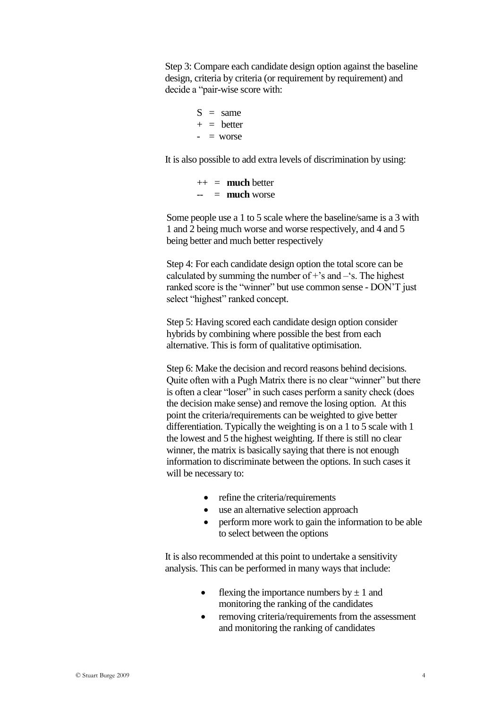Step 3: Compare each candidate design option against the baseline design, criteria by criteria (or requirement by requirement) and decide a "pair-wise score with:

> $S = same$  $+$  = better  $-$  = worse

It is also possible to add extra levels of discrimination by using:

 $++ =$  **much** better -- = **much** worse

Some people use a 1 to 5 scale where the baseline/same is a 3 with 1 and 2 being much worse and worse respectively, and 4 and 5 being better and much better respectively

Step 4: For each candidate design option the total score can be calculated by summing the number of  $+$ 's and  $-$ 's. The highest ranked score is the "winner" but use common sense - DON"T just select "highest" ranked concept.

Step 5: Having scored each candidate design option consider hybrids by combining where possible the best from each alternative. This is form of qualitative optimisation.

Step 6: Make the decision and record reasons behind decisions. Quite often with a Pugh Matrix there is no clear "winner" but there is often a clear "loser" in such cases perform a sanity check (does the decision make sense) and remove the losing option. At this point the criteria/requirements can be weighted to give better differentiation. Typically the weighting is on a 1 to 5 scale with 1 the lowest and 5 the highest weighting. If there is still no clear winner, the matrix is basically saying that there is not enough information to discriminate between the options. In such cases it will be necessary to:

- refine the criteria/requirements
- use an alternative selection approach
- perform more work to gain the information to be able to select between the options

It is also recommended at this point to undertake a sensitivity analysis. This can be performed in many ways that include:

- flexing the importance numbers by  $\pm 1$  and monitoring the ranking of the candidates
- removing criteria/requirements from the assessment and monitoring the ranking of candidates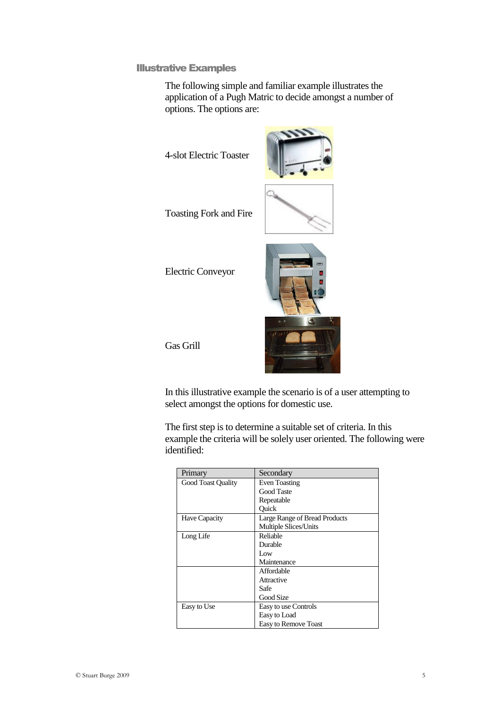Illustrative Examples

The following simple and familiar example illustrates the application of a Pugh Matric to decide amongst a number of options. The options are:

4-slot Electric Toaster



Toasting Fork and Fire

Electric Conveyor



Gas Grill

In this illustrative example the scenario is of a user attempting to select amongst the options for domestic use.

The first step is to determine a suitable set of criteria. In this example the criteria will be solely user oriented. The following were identified:

| Primary                   | Secondary                     |
|---------------------------|-------------------------------|
| <b>Good Toast Quality</b> | <b>Even Toasting</b>          |
|                           | <b>Good Taste</b>             |
|                           | Repeatable                    |
|                           | Ouick                         |
| Have Capacity             | Large Range of Bread Products |
|                           | <b>Multiple Slices/Units</b>  |
| Long Life                 | Reliable                      |
|                           | Durable                       |
|                           | Low                           |
|                           | Maintenance                   |
|                           | Affordable                    |
|                           | Attractive                    |
|                           | Safe                          |
|                           | Good Size                     |
| Easy to Use               | Easy to use Controls          |
|                           | Easy to Load                  |
|                           | Easy to Remove Toast          |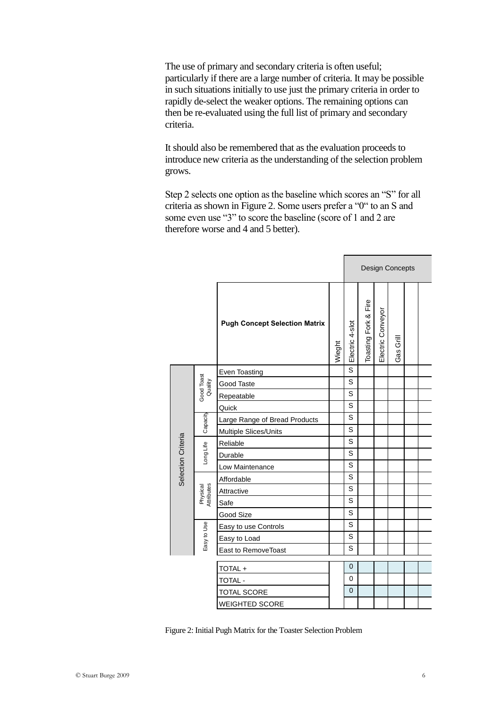The use of primary and secondary criteria is often useful; particularly if there are a large number of criteria. It may be possible in such situations initially to use just the primary criteria in order to rapidly de-select the weaker options. The remaining options can then be re-evaluated using the full list of primary and secondary criteria.

It should also be remembered that as the evaluation proceeds to introduce new criteria as the understanding of the selection problem grows.

Step 2 selects one option as the baseline which scores an "S" for all criteria as shown in Figure 2. Some users prefer a "0" to an S and some even use "3" to score the baseline (score of 1 and 2 are therefore worse and 4 and 5 better).

E

|                    |                        |                                      |        | <b>Design Concepts</b> |                      |                   |                           |  |  |
|--------------------|------------------------|--------------------------------------|--------|------------------------|----------------------|-------------------|---------------------------|--|--|
|                    |                        | <b>Pugh Concept Selection Matrix</b> | Wieght | Electric 4-slot        | Toasting Fork & Fire | Electric Conveyor | Grill<br>Gas <sup>o</sup> |  |  |
|                    |                        | Even Toasting                        |        | S                      |                      |                   |                           |  |  |
|                    | Quality                | Good Taste                           |        | S                      |                      |                   |                           |  |  |
|                    | Good Toast             | Repeatable                           |        | S                      |                      |                   |                           |  |  |
|                    |                        | Quick                                |        | S                      |                      |                   |                           |  |  |
|                    | Capacity               | Large Range of Bread Products        |        | S                      |                      |                   |                           |  |  |
|                    |                        | Multiple Slices/Units                |        | S                      |                      |                   |                           |  |  |
| Selection Criteria | Long Life              | Reliable                             |        | S                      |                      |                   |                           |  |  |
|                    |                        | Durable                              |        | S                      |                      |                   |                           |  |  |
|                    |                        | Low Maintenance                      |        | S                      |                      |                   |                           |  |  |
|                    |                        | Affordable                           |        | S                      |                      |                   |                           |  |  |
|                    | Physical<br>Attributes | Attractive                           |        | S                      |                      |                   |                           |  |  |
|                    |                        | Safe                                 |        | S                      |                      |                   |                           |  |  |
|                    |                        | Good Size                            |        | S                      |                      |                   |                           |  |  |
|                    |                        | Easy to use Controls                 |        | S                      |                      |                   |                           |  |  |
|                    | Easy to Use            | Easy to Load                         |        | S                      |                      |                   |                           |  |  |
|                    |                        | East to RemoveToast                  |        | S                      |                      |                   |                           |  |  |
|                    |                        | TOTAL+                               |        | $\overline{0}$         |                      |                   |                           |  |  |
|                    |                        | TOTAL -                              |        | 0                      |                      |                   |                           |  |  |
|                    |                        | <b>TOTAL SCORE</b>                   |        | $\overline{0}$         |                      |                   |                           |  |  |
|                    |                        | WEIGHTED SCORE                       |        |                        |                      |                   |                           |  |  |

Figure 2: Initial Pugh Matrix for the Toaster Selection Problem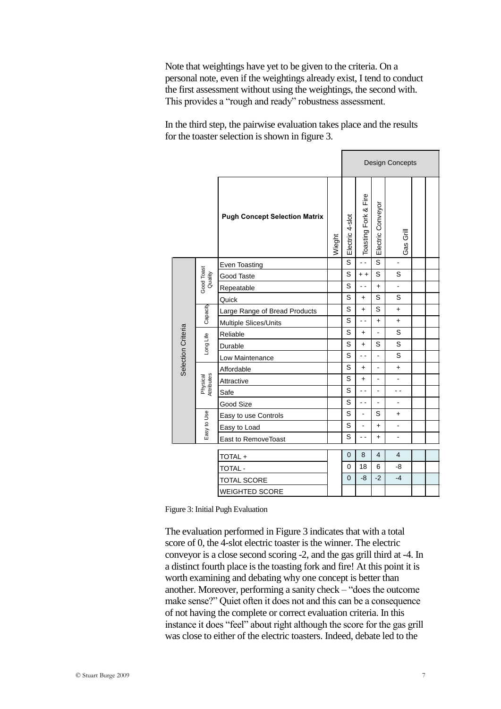Note that weightings have yet to be given to the criteria. On a personal note, even if the weightings already exist, I tend to conduct the first assessment without using the weightings, the second with. This provides a "rough and ready" robustness assessment.

In the third step, the pairwise evaluation takes place and the results for the toaster selection is shown in figure 3.

|                    |                        |                                             |        |                 |                          | <b>Design Concepts</b>  |                          |  |  |  |
|--------------------|------------------------|---------------------------------------------|--------|-----------------|--------------------------|-------------------------|--------------------------|--|--|--|
|                    |                        | <b>Pugh Concept Selection Matrix</b>        | Wieght | Electric 4-slot | Toasting Fork & Fire     | Electric Conveyor       | Gas Grill                |  |  |  |
|                    |                        | Even Toasting                               |        | S               | $\sim$ $\sim$            | $\overline{\mathbf{s}}$ | ä,                       |  |  |  |
|                    | Good Toast<br>Quality  | Good Taste                                  |        | S               | $+ +$                    | S                       | S                        |  |  |  |
|                    |                        | Repeatable                                  |        | S               | $\sim$ $\sim$            | $\ddot{}$               | ä,                       |  |  |  |
|                    |                        | Quick                                       |        | S               | $\ddot{}$                | S                       | S                        |  |  |  |
|                    | Capacity               | Large Range of Bread Products               |        | S               | $\ddot{}$                | S                       | $\ddot{}$                |  |  |  |
|                    |                        | Multiple Slices/Units                       |        | S               | $\sim$                   | $\ddot{}$               | $\ddot{}$                |  |  |  |
| Selection Criteria | Long Life              | Reliable                                    |        | S               | $\ddot{}$                | ä,                      | S                        |  |  |  |
|                    |                        | Durable                                     |        | S               | $+$                      | S                       | S                        |  |  |  |
|                    |                        | Low Maintenance                             |        | S               | $\overline{a}$           | $\overline{a}$          | S                        |  |  |  |
|                    |                        | Affordable                                  |        | S               | $\ddot{}$                | ÷,                      | $\ddot{}$                |  |  |  |
|                    | Physical<br>Attributes | Attractive                                  |        | S               | $+$                      | ÷,                      | ÷.                       |  |  |  |
|                    |                        | Safe                                        |        | S               | $\overline{\phantom{a}}$ | ÷,                      | $\overline{\phantom{a}}$ |  |  |  |
|                    |                        | Good Size                                   |        | S               | ۵.                       | ä,                      | ÷,                       |  |  |  |
|                    |                        | Easy to use Controls                        |        | S               | $\blacksquare$           | S                       | +                        |  |  |  |
|                    | Easy to Use            | Easy to Load                                |        | S               | L.                       | $\ddot{}$               | L.                       |  |  |  |
|                    |                        | East to RemoveToast                         |        | S               | ۵.                       | $\ddot{}$               | ÷,                       |  |  |  |
|                    |                        |                                             |        | $\overline{0}$  | 8                        | 4                       | $\overline{4}$           |  |  |  |
|                    |                        | TOTAL+                                      |        | $\mathbf 0$     | 18                       | 6                       | -8                       |  |  |  |
|                    |                        | TOTAL -                                     |        | $\overline{0}$  | -8                       | $-2$                    | $-4$                     |  |  |  |
|                    |                        | <b>TOTAL SCORE</b><br><b>WEIGHTED SCORE</b> |        |                 |                          |                         |                          |  |  |  |

Figure 3: Initial Pugh Evaluation

The evaluation performed in Figure 3 indicates that with a total score of 0, the 4-slot electric toaster is the winner. The electric conveyor is a close second scoring -2, and the gas grill third at -4. In a distinct fourth place is the toasting fork and fire! At this point it is worth examining and debating why one concept is better than another. Moreover, performing a sanity check – "does the outcome make sense?" Quiet often it does not and this can be a consequence of not having the complete or correct evaluation criteria. In this instance it does "feel" about right although the score for the gas grill was close to either of the electric toasters. Indeed, debate led to the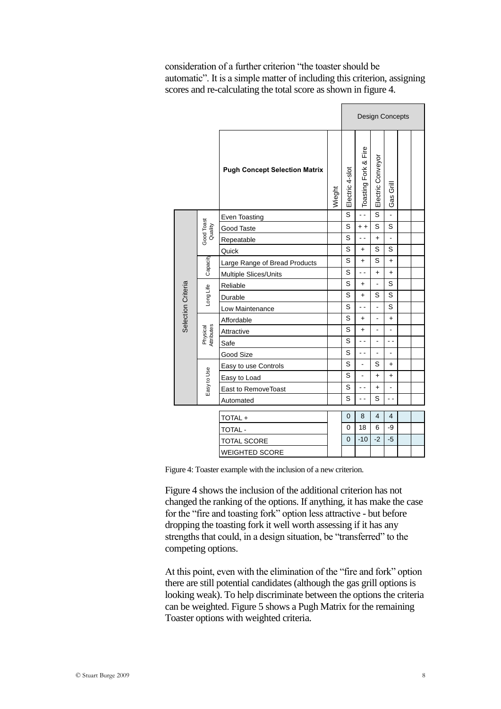consideration of a further criterion "the toaster should be automatic". It is a simple matter of including this criterion, assigning scores and re-calculating the total score as shown in figure 4.

|                       |                        |                                      |        | <b>Design Concepts</b> |                          |                   |                |  |  |
|-----------------------|------------------------|--------------------------------------|--------|------------------------|--------------------------|-------------------|----------------|--|--|
|                       |                        | <b>Pugh Concept Selection Matrix</b> | Wieght | Electric 4-slot        | Toasting Fork & Fire     | Electric Conveyor | Gas Grill      |  |  |
|                       |                        | Even Toasting                        |        | S                      | $\ddot{\phantom{a}}$     | S                 | $\overline{a}$ |  |  |
|                       | Good Toast<br>Quality  | Good Taste                           |        | S                      | $+ +$                    | S                 | S              |  |  |
|                       |                        | Repeatable                           |        | S                      | 44                       | $\ddot{}$         | $\overline{a}$ |  |  |
|                       |                        | Quick                                |        | S                      | $+$                      | S                 | S              |  |  |
|                       | Capacity               | Large Range of Bread Products        |        | S                      | $\ddot{}$                | S                 | $\ddot{}$      |  |  |
|                       |                        | Multiple Slices/Units                |        | S                      | $\overline{\phantom{a}}$ | $\ddot{}$         | $\ddot{}$      |  |  |
| Selection Criteria    | Long Life              | Reliable                             |        | S                      | $\ddot{}$                | $\overline{a}$    | S              |  |  |
|                       |                        | Durable                              |        | S                      | $+$                      | S                 | S              |  |  |
|                       |                        | Low Maintenance                      |        | S                      |                          | ÷,                | S              |  |  |
|                       | Physical<br>Attributes | Affordable                           |        | S                      | $\ddot{}$                | $\overline{a}$    | $\ddot{}$      |  |  |
|                       |                        | Attractive                           |        | S                      | $+$                      | L,                | $\overline{a}$ |  |  |
|                       |                        | Safe                                 |        | S                      | $\overline{\phantom{a}}$ | ÷,                | $\sim$ $\sim$  |  |  |
|                       |                        | Good Size                            |        | S                      | . .                      | L,                | $\overline{a}$ |  |  |
|                       |                        | Easy to use Controls                 |        | S                      | $\overline{a}$           | S                 | $\ddot{}$      |  |  |
|                       |                        | Easy to Load                         |        | S                      | ÷,                       | $\ddot{}$         | $\ddot{}$      |  |  |
|                       | Easy to Use            | East to RemoveToast                  |        | S                      | $\overline{a}$           | $\ddotmark$       | $\overline{a}$ |  |  |
|                       |                        | Automated                            |        | S                      | $\overline{a}$           | S                 | $\overline{a}$ |  |  |
|                       |                        |                                      |        | $\mathbf{0}$           | 8                        | 4                 | 4              |  |  |
|                       |                        | TOTAL+                               |        | 0                      | 18                       | 6                 | -9             |  |  |
|                       |                        | TOTAL -                              |        | 0                      | $-10$                    | $-2$              | $-5$           |  |  |
|                       |                        | <b>TOTAL SCORE</b>                   |        |                        |                          |                   |                |  |  |
| <b>WEIGHTED SCORE</b> |                        |                                      |        |                        |                          |                   |                |  |  |

Figure 4: Toaster example with the inclusion of a new criterion.

Figure 4 shows the inclusion of the additional criterion has not changed the ranking of the options. If anything, it has make the case for the "fire and toasting fork" option less attractive - but before dropping the toasting fork it well worth assessing if it has any strengths that could, in a design situation, be "transferred" to the competing options.

At this point, even with the elimination of the "fire and fork" option there are still potential candidates (although the gas grill options is looking weak). To help discriminate between the options the criteria can be weighted. Figure 5 shows a Pugh Matrix for the remaining Toaster options with weighted criteria.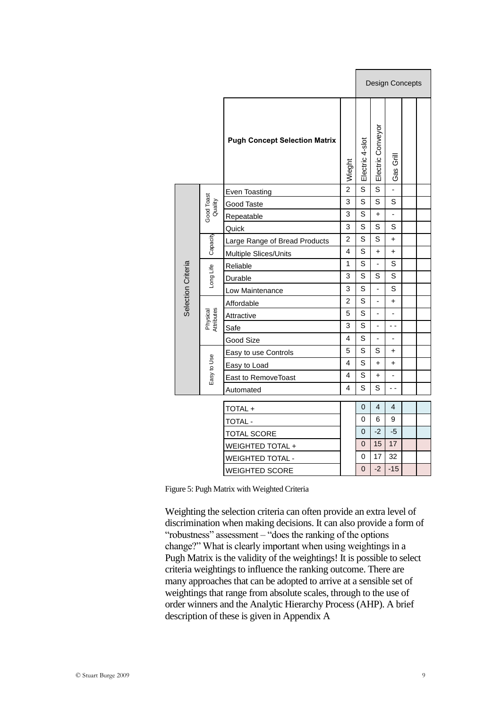|                        |                                                  |                                                                                                                        | <b>Design Concepts</b>   |                                 |                          |   |  |
|------------------------|--------------------------------------------------|------------------------------------------------------------------------------------------------------------------------|--------------------------|---------------------------------|--------------------------|---|--|
|                        | <b>Pugh Concept Selection Matrix</b>             | Wieght                                                                                                                 | Electric 4-slot          | Electric Conveyor               | Gas Grill                |   |  |
|                        | Even Toasting                                    |                                                                                                                        |                          |                                 |                          |   |  |
|                        | Good Taste                                       |                                                                                                                        | S                        | S                               | S                        |   |  |
|                        | Repeatable                                       |                                                                                                                        |                          | $\ddot{}$                       | $\overline{\phantom{0}}$ |   |  |
|                        | Quick                                            | 3                                                                                                                      | S                        | S                               | S                        |   |  |
|                        | Large Range of Bread Products                    | 2                                                                                                                      | S                        | S                               | $\ddot{}$                |   |  |
|                        | Multiple Slices/Units                            | 4                                                                                                                      |                          | $\ddot{}$                       | $\ddot{}$                |   |  |
| Long Life              | Reliable                                         | 1                                                                                                                      |                          | $\frac{1}{2}$                   | S                        |   |  |
|                        | Durable                                          | 3                                                                                                                      |                          | S                               |                          |   |  |
|                        | Low Maintenance                                  | 3                                                                                                                      | S                        |                                 | S                        |   |  |
| Physical<br>Attributes | Affordable                                       | 2                                                                                                                      |                          | L,                              | +                        |   |  |
|                        | Attractive                                       | 5                                                                                                                      | S                        | ٠                               | ٠                        |   |  |
|                        | Safe                                             | 3                                                                                                                      | S                        | L,                              | - -                      |   |  |
|                        | Good Size                                        | 4                                                                                                                      | S                        | $\overline{\phantom{0}}$        | $\frac{1}{2}$            |   |  |
|                        | Easy to use Controls                             | 5                                                                                                                      | S                        | S                               | $\ddot{}$                |   |  |
|                        | Easy to Load                                     | 4                                                                                                                      | S                        | $\ddot{}$                       | $\ddot{}$                |   |  |
|                        | East to RemoveToast                              | 4                                                                                                                      | S                        | $\ddot{}$                       | -                        |   |  |
|                        | Automated                                        | 4                                                                                                                      |                          | S                               | $\overline{\phantom{a}}$ |   |  |
|                        |                                                  |                                                                                                                        | 0                        | 4                               | $\overline{4}$           |   |  |
|                        |                                                  |                                                                                                                        | $\Omega$                 | 6                               | 9                        |   |  |
|                        |                                                  |                                                                                                                        | 0                        | -2                              | -5                       |   |  |
|                        |                                                  |                                                                                                                        | $\mathbf 0$              | 15                              | 17                       |   |  |
|                        |                                                  |                                                                                                                        | 0                        | 17                              | 32                       |   |  |
|                        |                                                  |                                                                                                                        | 0                        | $-2$                            | $-15$                    |   |  |
|                        | Good Toast<br>Quality<br>Capacity<br>Easy to Use | TOTAL+<br><b>TOTAL -</b><br><b>TOTAL SCORE</b><br>WEIGHTED TOTAL +<br><b>WEIGHTED TOTAL -</b><br><b>WEIGHTED SCORE</b> | $\overline{2}$<br>3<br>3 | S<br>S<br>S<br>S<br>S<br>S<br>S | S                        | S |  |

Figure 5: Pugh Matrix with Weighted Criteria

Weighting the selection criteria can often provide an extra level of discrimination when making decisions. It can also provide a form of "robustness" assessment – "does the ranking of the options change?" What is clearly important when using weightings in a Pugh Matrix is the validity of the weightings! It is possible to select criteria weightings to influence the ranking outcome. There are many approaches that can be adopted to arrive at a sensible set of weightings that range from absolute scales, through to the use of order winners and the Analytic Hierarchy Process (AHP). A brief description of these is given in Appendix A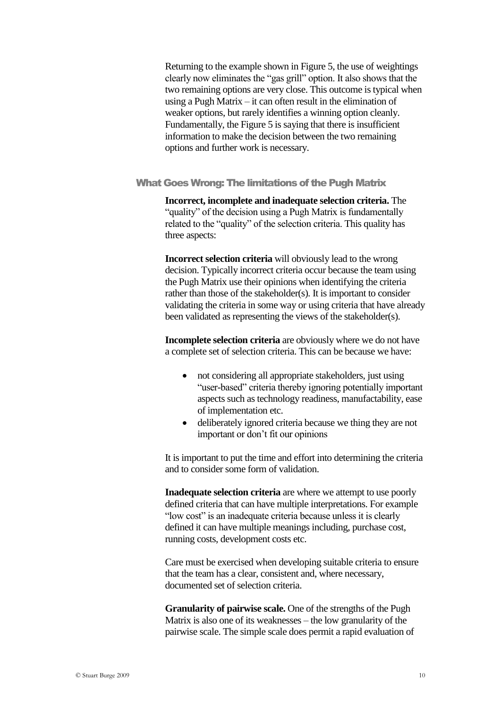Returning to the example shown in Figure 5, the use of weightings clearly now eliminates the "gas grill" option. It also shows that the two remaining options are very close. This outcome is typical when using a Pugh Matrix – it can often result in the elimination of weaker options, but rarely identifies a winning option cleanly. Fundamentally, the Figure 5 is saying that there is insufficient information to make the decision between the two remaining options and further work is necessary.

What Goes Wrong: The limitations of the Pugh Matrix

**Incorrect, incomplete and inadequate selection criteria.** The "quality" of the decision using a Pugh Matrix is fundamentally related to the "quality" of the selection criteria. This quality has three aspects:

**Incorrect selection criteria** will obviously lead to the wrong decision. Typically incorrect criteria occur because the team using the Pugh Matrix use their opinions when identifying the criteria rather than those of the stakeholder(s). It is important to consider validating the criteria in some way or using criteria that have already been validated as representing the views of the stakeholder(s).

**Incomplete selection criteria** are obviously where we do not have a complete set of selection criteria. This can be because we have:

- not considering all appropriate stakeholders, just using "user-based" criteria thereby ignoring potentially important aspects such as technology readiness, manufactability, ease of implementation etc.
- deliberately ignored criteria because we thing they are not important or don"t fit our opinions

It is important to put the time and effort into determining the criteria and to consider some form of validation.

**Inadequate selection criteria** are where we attempt to use poorly defined criteria that can have multiple interpretations. For example "low cost" is an inadequate criteria because unless it is clearly defined it can have multiple meanings including, purchase cost, running costs, development costs etc.

Care must be exercised when developing suitable criteria to ensure that the team has a clear, consistent and, where necessary, documented set of selection criteria.

**Granularity of pairwise scale.** One of the strengths of the Pugh Matrix is also one of its weaknesses – the low granularity of the pairwise scale. The simple scale does permit a rapid evaluation of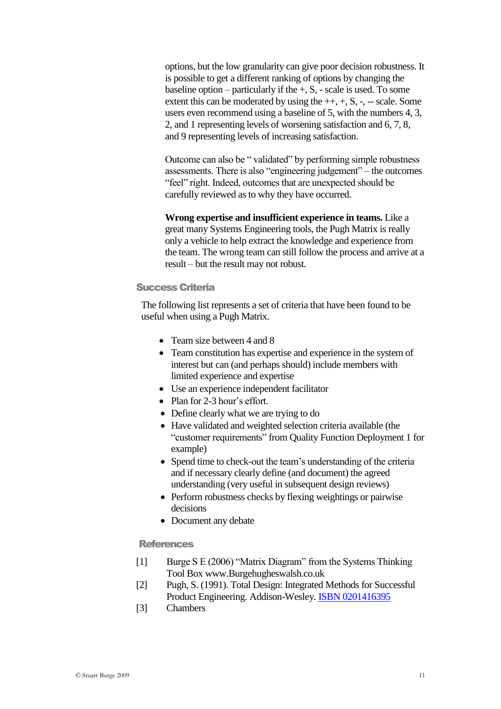options, but the low granularity can give poor decision robustness. It is possible to get a different ranking of options by changing the baseline option – particularly if the  $+$ , S,  $-$  scale is used. To some extent this can be moderated by using the  $++, +, S, -, -$  scale. Some users even recommend using a baseline of 5, with the numbers 4, 3, 2, and 1 representing levels of worsening satisfaction and 6, 7, 8, and 9 representing levels of increasing satisfaction.

Outcome can also be " validated" by performing simple robustness assessments. There is also "engineering judgement" – the outcomes "feel" right. Indeed, outcomes that are unexpected should be carefully reviewed as to why they have occurred.

**Wrong expertise and insufficient experience in teams.** Like a great many Systems Engineering tools, the Pugh Matrix is really only a vehicle to help extract the knowledge and experience from the team. The wrong team can still follow the process and arrive at a result – but the result may not robust.

#### Success Criteria

The following list represents a set of criteria that have been found to be useful when using a Pugh Matrix.

- Team size between 4 and 8
- Team constitution has expertise and experience in the system of interest but can (and perhaps should) include members with limited experience and expertise
- Use an experience independent facilitator
- Plan for 2-3 hour's effort.
- Define clearly what we are trying to do
- Have validated and weighted selection criteria available (the "customer requirements" from Quality Function Deployment 1 for example)
- Spend time to check-out the team's understanding of the criteria and if necessary clearly define (and document) the agreed understanding (very useful in subsequent design reviews)
- Perform robustness checks by flexing weightings or pairwise decisions
- Document any debate

#### **References**

- [1] Burge S E (2006) "Matrix Diagram" from the Systems Thinking Tool Box www.Burgehugheswalsh.co.uk
- [2] Pugh, S. (1991). Total Design: Integrated Methods for Successful Product Engineering. Addison-Wesley. [ISBN 0201416395](http://en.wikipedia.org/wiki/Special:BookSources/0201416395)
- [3] Chambers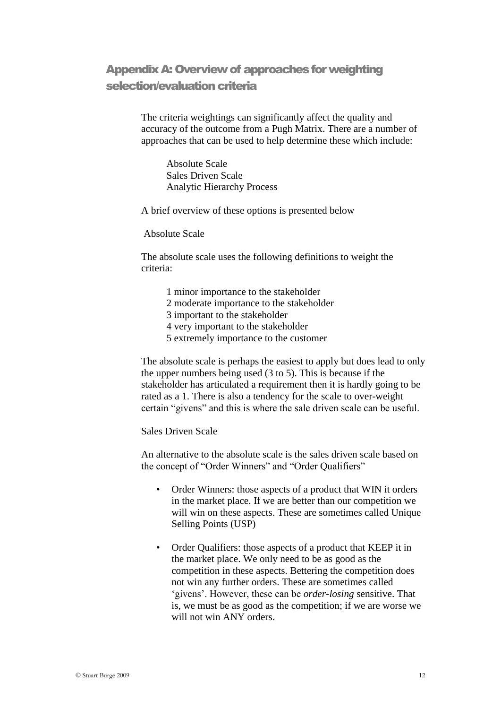## AppendixA: Overview of approaches for weighting selection/evaluation criteria

The criteria weightings can significantly affect the quality and accuracy of the outcome from a Pugh Matrix. There are a number of approaches that can be used to help determine these which include:

Absolute Scale Sales Driven Scale Analytic Hierarchy Process

A brief overview of these options is presented below

Absolute Scale

The absolute scale uses the following definitions to weight the criteria:

- 1 minor importance to the stakeholder
- 2 moderate importance to the stakeholder
- 3 important to the stakeholder
- 4 very important to the stakeholder
- 5 extremely importance to the customer

The absolute scale is perhaps the easiest to apply but does lead to only the upper numbers being used (3 to 5). This is because if the stakeholder has articulated a requirement then it is hardly going to be rated as a 1. There is also a tendency for the scale to over-weight certain "givens" and this is where the sale driven scale can be useful.

Sales Driven Scale

An alternative to the absolute scale is the sales driven scale based on the concept of "Order Winners" and "Order Qualifiers"

- Order Winners: those aspects of a product that WIN it orders in the market place. If we are better than our competition we will win on these aspects. These are sometimes called Unique Selling Points (USP)
- Order Qualifiers: those aspects of a product that KEEP it in the market place. We only need to be as good as the competition in these aspects. Bettering the competition does not win any further orders. These are sometimes called "givens". However, these can be *order-losing* sensitive. That is, we must be as good as the competition; if we are worse we will not win ANY orders.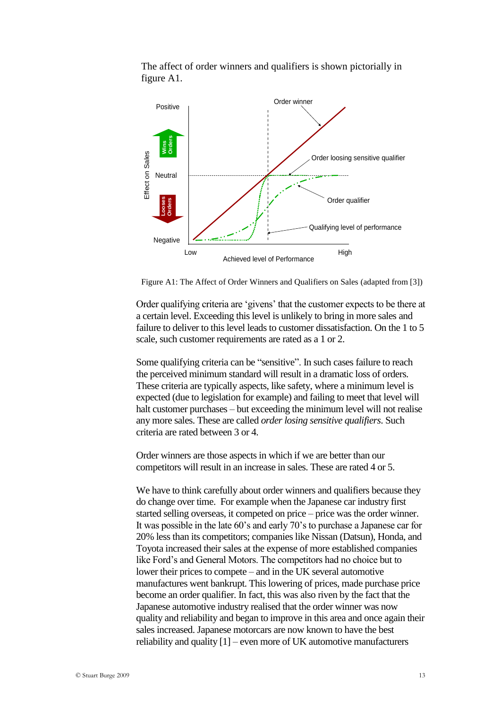The affect of order winners and qualifiers is shown pictorially in figure A1.



Figure A1: The Affect of Order Winners and Qualifiers on Sales (adapted from [3])

Order qualifying criteria are "givens" that the customer expects to be there at a certain level. Exceeding this level is unlikely to bring in more sales and failure to deliver to this level leads to customer dissatisfaction. On the 1 to 5 scale, such customer requirements are rated as a 1 or 2.

Some qualifying criteria can be "sensitive". In such cases failure to reach the perceived minimum standard will result in a dramatic loss of orders. These criteria are typically aspects, like safety, where a minimum level is expected (due to legislation for example) and failing to meet that level will halt customer purchases – but exceeding the minimum level will not realise any more sales. These are called *order losing sensitive qualifiers*. Such criteria are rated between 3 or 4.

Order winners are those aspects in which if we are better than our competitors will result in an increase in sales. These are rated 4 or 5.

We have to think carefully about order winners and qualifiers because they do change over time. For example when the Japanese car industry first started selling overseas, it competed on price – price was the order winner. It was possible in the late 60"s and early 70"s to purchase a Japanese car for 20% less than its competitors; companies like Nissan (Datsun), Honda, and Toyota increased their sales at the expense of more established companies like Ford"s and General Motors. The competitors had no choice but to lower their prices to compete – and in the UK several automotive manufactures went bankrupt. This lowering of prices, made purchase price become an order qualifier. In fact, this was also riven by the fact that the Japanese automotive industry realised that the order winner was now quality and reliability and began to improve in this area and once again their sales increased. Japanese motorcars are now known to have the best reliability and quality [1] – even more of UK automotive manufacturers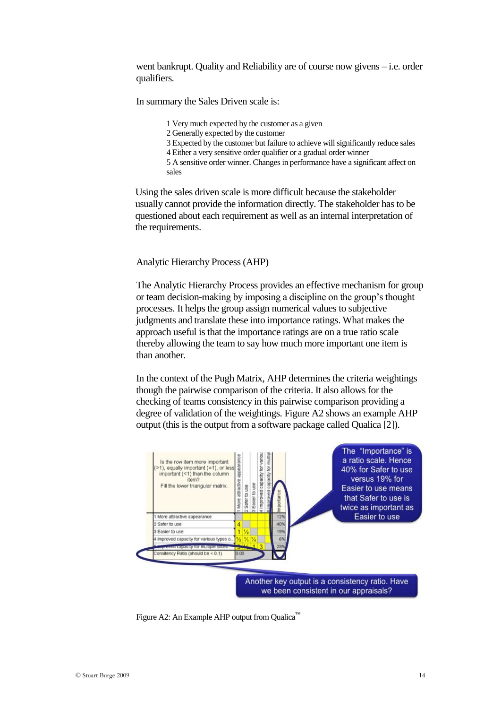went bankrupt. Quality and Reliability are of course now givens – i.e. order qualifiers.

In summary the Sales Driven scale is:

- 1 Very much expected by the customer as a given
- 2 Generally expected by the customer
- 3 Expected by the customer but failure to achieve will significantly reduce sales
- 4 Either a very sensitive order qualifier or a gradual order winner

5 A sensitive order winner. Changes in performance have a significant affect on sales

Using the sales driven scale is more difficult because the stakeholder usually cannot provide the information directly. The stakeholder has to be questioned about each requirement as well as an internal interpretation of the requirements.

Analytic Hierarchy Process (AHP)

The Analytic Hierarchy Process provides an effective mechanism for group or team decision-making by imposing a discipline on the group"s thought processes. It helps the group assign numerical values to subjective judgments and translate these into importance ratings. What makes the approach useful is that the importance ratings are on a true ratio scale thereby allowing the team to say how much more important one item is than another.

In the context of the Pugh Matrix, AHP determines the criteria weightings though the pairwise comparison of the criteria. It also allows for the checking of teams consistency in this pairwise comparison providing a degree of validation of the weightings. Figure A2 shows an example AHP output (this is the output from a software package called Qualica [2]).



Figure A2: An Example AHP output from Qualica™